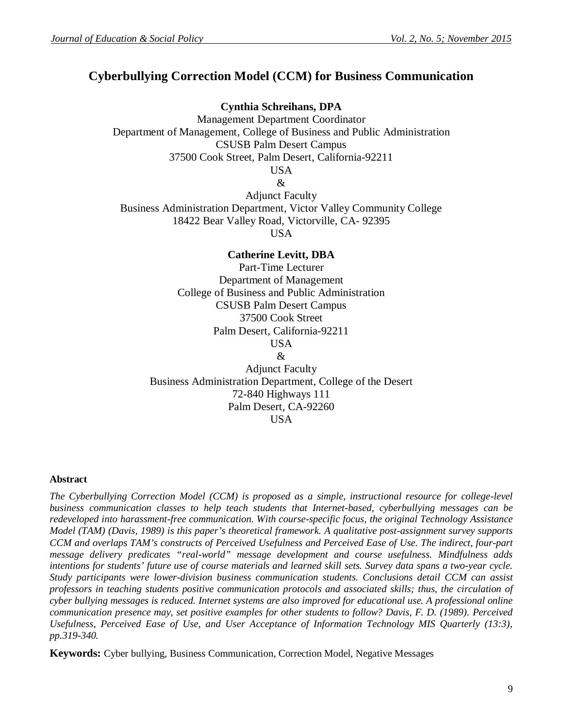# **Cyberbullying Correction Model (CCM) for Business Communication**

**Cynthia Schreihans, DPA** Management Department Coordinator Department of Management, College of Business and Public Administration CSUSB Palm Desert Campus 37500 Cook Street, Palm Desert, California-92211 USA &

Adjunct Faculty Business Administration Department, Victor Valley Community College 18422 Bear Valley Road, Victorville, CA- 92395 USA

**Catherine Levitt, DBA** Part-Time Lecturer Department of Management College of Business and Public Administration CSUSB Palm Desert Campus 37500 Cook Street Palm Desert, California-92211 USA & Adjunct Faculty Business Administration Department, College of the Desert 72-840 Highways 111 Palm Desert, CA-92260

#### USA

#### **Abstract**

*The Cyberbullying Correction Model (CCM) is proposed as a simple, instructional resource for college-level business communication classes to help teach students that Internet-based, cyberbullying messages can be redeveloped into harassment-free communication. With course-specific focus, the original Technology Assistance Model (TAM) (Davis, 1989) is this paper's theoretical framework. A qualitative post-assignment survey supports CCM and overlaps TAM's constructs of Perceived Usefulness and Perceived Ease of Use. The indirect, four-part message delivery predicates "real-world" message development and course usefulness. Mindfulness adds intentions for students' future use of course materials and learned skill sets. Survey data spans a two-year cycle. Study participants were lower-division business communication students. Conclusions detail CCM can assist professors in teaching students positive communication protocols and associated skills; thus, the circulation of cyber bullying messages is reduced. Internet systems are also improved for educational use. A professional online communication presence may, set positive examples for other students to follow? Davis, F. D. (1989). Perceived Usefulness, Perceived Ease of Use, and User Acceptance of Information Technology MIS Quarterly (13:3), pp.319-340.*

**Keywords:** Cyber bullying, Business Communication, Correction Model, Negative Messages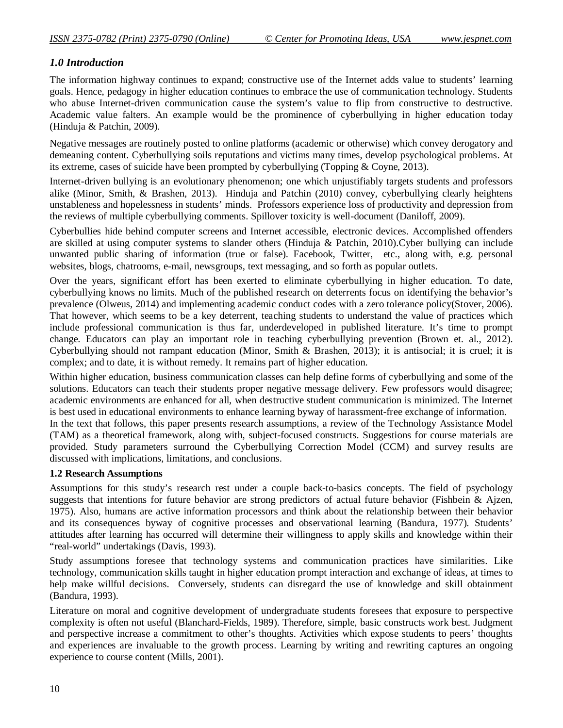# *1.0 Introduction*

The information highway continues to expand; constructive use of the Internet adds value to students' learning goals. Hence, pedagogy in higher education continues to embrace the use of communication technology. Students who abuse Internet-driven communication cause the system's value to flip from constructive to destructive. Academic value falters. An example would be the prominence of cyberbullying in higher education today (Hinduja & Patchin, 2009).

Negative messages are routinely posted to online platforms (academic or otherwise) which convey derogatory and demeaning content. Cyberbullying soils reputations and victims many times, develop psychological problems. At its extreme, cases of suicide have been prompted by cyberbullying (Topping & Coyne, 2013).

Internet-driven bullying is an evolutionary phenomenon; one which unjustifiably targets students and professors alike (Minor, Smith, & Brashen, 2013). Hinduja and Patchin (2010) convey, cyberbullying clearly heightens unstableness and hopelessness in students' minds. Professors experience loss of productivity and depression from the reviews of multiple cyberbullying comments. Spillover toxicity is well-document (Daniloff, 2009).

Cyberbullies hide behind computer screens and Internet accessible, electronic devices. Accomplished offenders are skilled at using computer systems to slander others (Hinduja & Patchin, 2010).Cyber bullying can include unwanted public sharing of information (true or false). Facebook, Twitter, etc., along with, e.g. personal websites, blogs, chatrooms, e-mail, newsgroups, text messaging, and so forth as popular outlets.

Over the years, significant effort has been exerted to eliminate cyberbullying in higher education. To date, cyberbullying knows no limits. Much of the published research on deterrents focus on identifying the behavior's prevalence (Olweus, 2014) and implementing academic conduct codes with a zero tolerance policy(Stover, 2006). That however, which seems to be a key deterrent, teaching students to understand the value of practices which include professional communication is thus far, underdeveloped in published literature. It's time to prompt change. Educators can play an important role in teaching cyberbullying prevention (Brown et. al., 2012). Cyberbullying should not rampant education (Minor, Smith & Brashen, 2013); it is antisocial; it is cruel; it is complex; and to date, it is without remedy. It remains part of higher education.

Within higher education, business communication classes can help define forms of cyberbullying and some of the solutions. Educators can teach their students proper negative message delivery. Few professors would disagree; academic environments are enhanced for all, when destructive student communication is minimized. The Internet is best used in educational environments to enhance learning byway of harassment-free exchange of information.

In the text that follows, this paper presents research assumptions, a review of the Technology Assistance Model (TAM) as a theoretical framework, along with, subject-focused constructs. Suggestions for course materials are provided. Study parameters surround the Cyberbullying Correction Model (CCM) and survey results are discussed with implications, limitations, and conclusions.

### **1.2 Research Assumptions**

Assumptions for this study's research rest under a couple back-to-basics concepts. The field of psychology suggests that intentions for future behavior are strong predictors of actual future behavior (Fishbein & Ajzen, 1975). Also, humans are active information processors and think about the relationship between their behavior and its consequences byway of cognitive processes and observational learning (Bandura, 1977). Students' attitudes after learning has occurred will determine their willingness to apply skills and knowledge within their "real-world" undertakings (Davis, 1993).

Study assumptions foresee that technology systems and communication practices have similarities. Like technology, communication skills taught in higher education prompt interaction and exchange of ideas, at times to help make willful decisions. Conversely, students can disregard the use of knowledge and skill obtainment (Bandura, 1993).

Literature on moral and cognitive development of undergraduate students foresees that exposure to perspective complexity is often not useful (Blanchard-Fields, 1989). Therefore, simple, basic constructs work best. Judgment and perspective increase a commitment to other's thoughts. Activities which expose students to peers' thoughts and experiences are invaluable to the growth process. Learning by writing and rewriting captures an ongoing experience to course content (Mills, 2001).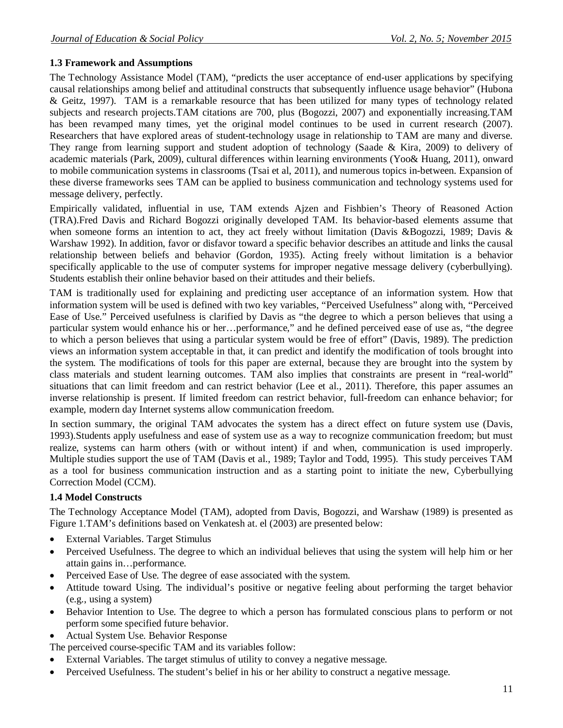### **1.3 Framework and Assumptions**

The Technology Assistance Model (TAM), "predicts the user acceptance of end-user applications by specifying causal relationships among belief and attitudinal constructs that subsequently influence usage behavior" (Hubona & Geitz, 1997). TAM is a remarkable resource that has been utilized for many types of technology related subjects and research projects.TAM citations are 700, plus (Bogozzi, 2007) and exponentially increasing.TAM has been revamped many times, yet the original model continues to be used in current research (2007). Researchers that have explored areas of student-technology usage in relationship to TAM are many and diverse. They range from learning support and student adoption of technology (Saade & Kira, 2009) to delivery of academic materials (Park, 2009), cultural differences within learning environments (Yoo& Huang, 2011), onward to mobile communication systems in classrooms (Tsai et al, 2011), and numerous topics in-between. Expansion of these diverse frameworks sees TAM can be applied to business communication and technology systems used for message delivery, perfectly.

Empirically validated, influential in use, TAM extends Ajzen and Fishbien's Theory of Reasoned Action (TRA).Fred Davis and Richard Bogozzi originally developed TAM. Its behavior-based elements assume that when someone forms an intention to act, they act freely without limitation (Davis &Bogozzi, 1989; Davis & Warshaw 1992). In addition, favor or disfavor toward a specific behavior describes an attitude and links the causal relationship between beliefs and behavior (Gordon, 1935). Acting freely without limitation is a behavior specifically applicable to the use of computer systems for improper negative message delivery (cyberbullying). Students establish their online behavior based on their attitudes and their beliefs.

TAM is traditionally used for explaining and predicting user acceptance of an information system. How that information system will be used is defined with two key variables, "Perceived Usefulness" along with, "Perceived Ease of Use." Perceived usefulness is clarified by Davis as "the degree to which a person believes that using a particular system would enhance his or her…performance," and he defined perceived ease of use as, "the degree to which a person believes that using a particular system would be free of effort" (Davis, 1989). The prediction views an information system acceptable in that, it can predict and identify the modification of tools brought into the system. The modifications of tools for this paper are external, because they are brought into the system by class materials and student learning outcomes. TAM also implies that constraints are present in "real-world" situations that can limit freedom and can restrict behavior (Lee et al., 2011). Therefore, this paper assumes an inverse relationship is present. If limited freedom can restrict behavior, full-freedom can enhance behavior; for example, modern day Internet systems allow communication freedom.

In section summary, the original TAM advocates the system has a direct effect on future system use (Davis, 1993).Students apply usefulness and ease of system use as a way to recognize communication freedom; but must realize, systems can harm others (with or without intent) if and when, communication is used improperly. Multiple studies support the use of TAM (Davis et al., 1989; Taylor and Todd, 1995). This study perceives TAM as a tool for business communication instruction and as a starting point to initiate the new, Cyberbullying Correction Model (CCM).

### **1.4 Model Constructs**

The Technology Acceptance Model (TAM), adopted from Davis, Bogozzi, and Warshaw (1989) is presented as Figure 1.TAM's definitions based on Venkatesh at. el (2003) are presented below:

- External Variables. Target Stimulus
- Perceived Usefulness. The degree to which an individual believes that using the system will help him or her attain gains in…performance.
- Perceived Ease of Use. The degree of ease associated with the system.
- Attitude toward Using. The individual's positive or negative feeling about performing the target behavior (e.g., using a system)
- Behavior Intention to Use. The degree to which a person has formulated conscious plans to perform or not perform some specified future behavior.
- Actual System Use. Behavior Response
- The perceived course-specific TAM and its variables follow:
- External Variables. The target stimulus of utility to convey a negative message.
- Perceived Usefulness. The student's belief in his or her ability to construct a negative message.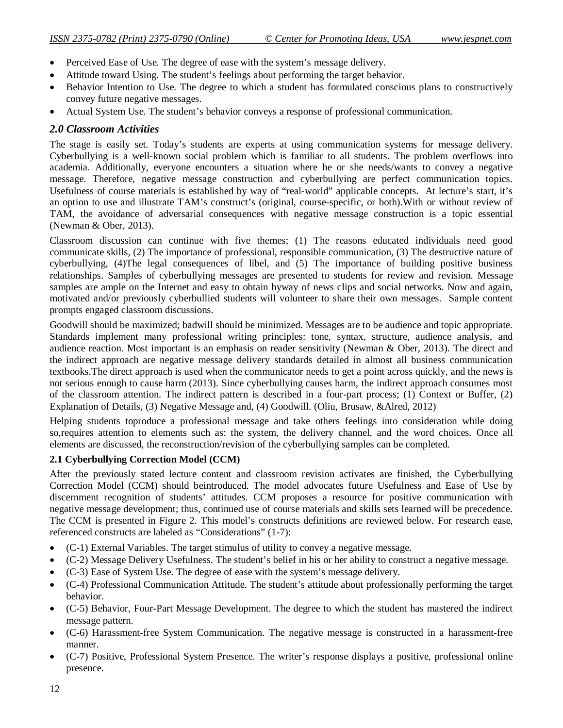- Perceived Ease of Use. The degree of ease with the system's message delivery.
- Attitude toward Using. The student's feelings about performing the target behavior.
- Behavior Intention to Use. The degree to which a student has formulated conscious plans to constructively convey future negative messages.
- Actual System Use. The student's behavior conveys a response of professional communication.

#### *2.0 Classroom Activities*

The stage is easily set. Today's students are experts at using communication systems for message delivery. Cyberbullying is a well-known social problem which is familiar to all students. The problem overflows into academia. Additionally, everyone encounters a situation where he or she needs/wants to convey a negative message. Therefore, negative message construction and cyberbullying are perfect communication topics. Usefulness of course materials is established by way of "real-world" applicable concepts. At lecture's start, it's an option to use and illustrate TAM's construct's (original, course-specific, or both).With or without review of TAM, the avoidance of adversarial consequences with negative message construction is a topic essential (Newman & Ober, 2013).

Classroom discussion can continue with five themes; (1) The reasons educated individuals need good communicate skills, (2) The importance of professional, responsible communication, (3) The destructive nature of cyberbullying, (4)The legal consequences of libel, and (5) The importance of building positive business relationships. Samples of cyberbullying messages are presented to students for review and revision. Message samples are ample on the Internet and easy to obtain byway of news clips and social networks. Now and again, motivated and/or previously cyberbullied students will volunteer to share their own messages. Sample content prompts engaged classroom discussions.

Goodwill should be maximized; badwill should be minimized. Messages are to be audience and topic appropriate. Standards implement many professional writing principles: tone, syntax, structure, audience analysis, and audience reaction. Most important is an emphasis on reader sensitivity (Newman & Ober, 2013). The direct and the indirect approach are negative message delivery standards detailed in almost all business communication textbooks.The direct approach is used when the communicator needs to get a point across quickly, and the news is not serious enough to cause harm (2013). Since cyberbullying causes harm, the indirect approach consumes most of the classroom attention. The indirect pattern is described in a four-part process; (1) Context or Buffer, (2) Explanation of Details, (3) Negative Message and, (4) Goodwill. (Oliu, Brusaw, &Alred, 2012)

Helping students toproduce a professional message and take others feelings into consideration while doing so,requires attention to elements such as: the system, the delivery channel, and the word choices. Once all elements are discussed, the reconstruction/revision of the cyberbullying samples can be completed.

#### **2.1 Cyberbullying Correction Model (CCM)**

After the previously stated lecture content and classroom revision activates are finished, the Cyberbullying Correction Model (CCM) should beintroduced. The model advocates future Usefulness and Ease of Use by discernment recognition of students' attitudes. CCM proposes a resource for positive communication with negative message development; thus, continued use of course materials and skills sets learned will be precedence. The CCM is presented in Figure 2. This model's constructs definitions are reviewed below. For research ease, referenced constructs are labeled as "Considerations" (1-7):

- (C-1) External Variables. The target stimulus of utility to convey a negative message.
- (C-2) Message Delivery Usefulness. The student's belief in his or her ability to construct a negative message.
- (C-3) Ease of System Use. The degree of ease with the system's message delivery.
- (C-4) Professional Communication Attitude. The student's attitude about professionally performing the target behavior.
- (C-5) Behavior, Four-Part Message Development. The degree to which the student has mastered the indirect message pattern.
- (C-6) Harassment-free System Communication. The negative message is constructed in a harassment-free manner.
- (C-7) Positive, Professional System Presence. The writer's response displays a positive, professional online presence.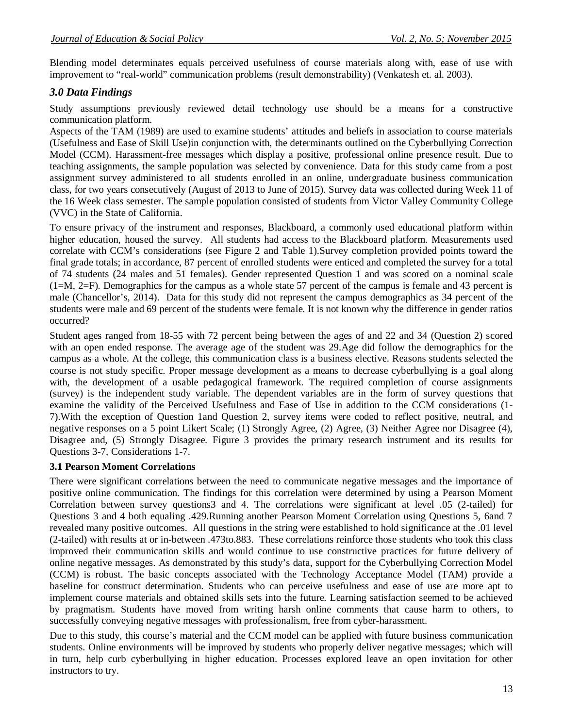Blending model determinates equals perceived usefulness of course materials along with, ease of use with improvement to "real-world" communication problems (result demonstrability) (Venkatesh et. al. 2003).

### *3.0 Data Findings*

Study assumptions previously reviewed detail technology use should be a means for a constructive communication platform.

Aspects of the TAM (1989) are used to examine students' attitudes and beliefs in association to course materials (Usefulness and Ease of Skill Use)in conjunction with, the determinants outlined on the Cyberbullying Correction Model (CCM). Harassment-free messages which display a positive, professional online presence result. Due to teaching assignments, the sample population was selected by convenience. Data for this study came from a post assignment survey administered to all students enrolled in an online, undergraduate business communication class, for two years consecutively (August of 2013 to June of 2015). Survey data was collected during Week 11 of the 16 Week class semester. The sample population consisted of students from Victor Valley Community College (VVC) in the State of California.

To ensure privacy of the instrument and responses, Blackboard, a commonly used educational platform within higher education, housed the survey. All students had access to the Blackboard platform. Measurements used correlate with CCM's considerations (see Figure 2 and Table 1).Survey completion provided points toward the final grade totals; in accordance, 87 percent of enrolled students were enticed and completed the survey for a total of 74 students (24 males and 51 females). Gender represented Question 1 and was scored on a nominal scale (1=M, 2=F). Demographics for the campus as a whole state 57 percent of the campus is female and 43 percent is male (Chancellor's, 2014). Data for this study did not represent the campus demographics as 34 percent of the students were male and 69 percent of the students were female. It is not known why the difference in gender ratios occurred?

Student ages ranged from 18-55 with 72 percent being between the ages of and 22 and 34 (Question 2) scored with an open ended response. The average age of the student was 29.Age did follow the demographics for the campus as a whole. At the college, this communication class is a business elective. Reasons students selected the course is not study specific. Proper message development as a means to decrease cyberbullying is a goal along with, the development of a usable pedagogical framework. The required completion of course assignments (survey) is the independent study variable. The dependent variables are in the form of survey questions that examine the validity of the Perceived Usefulness and Ease of Use in addition to the CCM considerations (1- 7).With the exception of Question 1and Question 2, survey items were coded to reflect positive, neutral, and negative responses on a 5 point Likert Scale; (1) Strongly Agree, (2) Agree, (3) Neither Agree nor Disagree (4), Disagree and, (5) Strongly Disagree. Figure 3 provides the primary research instrument and its results for Questions 3-7, Considerations 1-7.

#### **3.1 Pearson Moment Correlations**

There were significant correlations between the need to communicate negative messages and the importance of positive online communication. The findings for this correlation were determined by using a Pearson Moment Correlation between survey questions3 and 4. The correlations were significant at level .05 (2-tailed) for Questions 3 and 4 both equaling .429.Running another Pearson Moment Correlation using Questions 5, 6and 7 revealed many positive outcomes. All questions in the string were established to hold significance at the .01 level (2-tailed) with results at or in-between .473to.883. These correlations reinforce those students who took this class improved their communication skills and would continue to use constructive practices for future delivery of online negative messages. As demonstrated by this study's data, support for the Cyberbullying Correction Model (CCM) is robust. The basic concepts associated with the Technology Acceptance Model (TAM) provide a baseline for construct determination. Students who can perceive usefulness and ease of use are more apt to implement course materials and obtained skills sets into the future. Learning satisfaction seemed to be achieved by pragmatism. Students have moved from writing harsh online comments that cause harm to others, to successfully conveying negative messages with professionalism, free from cyber-harassment.

Due to this study, this course's material and the CCM model can be applied with future business communication students. Online environments will be improved by students who properly deliver negative messages; which will in turn, help curb cyberbullying in higher education. Processes explored leave an open invitation for other instructors to try.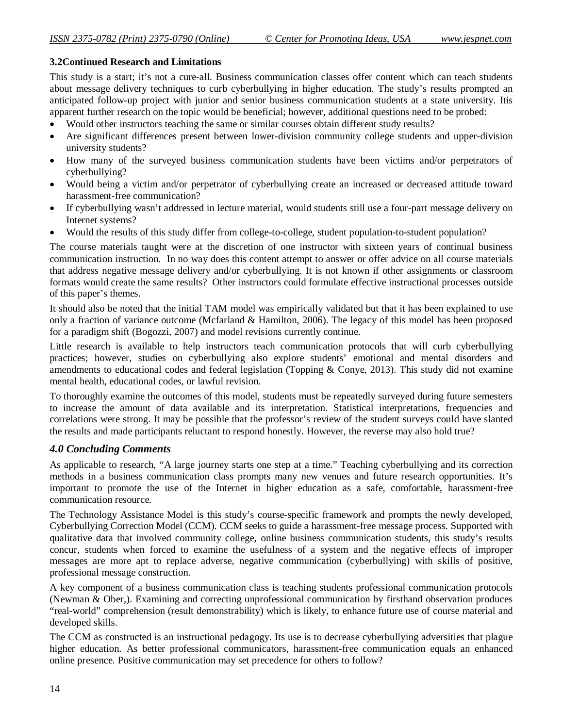#### **3.2Continued Research and Limitations**

This study is a start; it's not a cure-all. Business communication classes offer content which can teach students about message delivery techniques to curb cyberbullying in higher education. The study's results prompted an anticipated follow-up project with junior and senior business communication students at a state university. Itis apparent further research on the topic would be beneficial; however, additional questions need to be probed:

- Would other instructors teaching the same or similar courses obtain different study results?
- Are significant differences present between lower-division community college students and upper-division university students?
- How many of the surveyed business communication students have been victims and/or perpetrators of cyberbullying?
- Would being a victim and/or perpetrator of cyberbullying create an increased or decreased attitude toward harassment-free communication?
- If cyberbullying wasn't addressed in lecture material, would students still use a four-part message delivery on Internet systems?
- Would the results of this study differ from college-to-college, student population-to-student population?

The course materials taught were at the discretion of one instructor with sixteen years of continual business communication instruction. In no way does this content attempt to answer or offer advice on all course materials that address negative message delivery and/or cyberbullying. It is not known if other assignments or classroom formats would create the same results? Other instructors could formulate effective instructional processes outside of this paper's themes.

It should also be noted that the initial TAM model was empirically validated but that it has been explained to use only a fraction of variance outcome (Mcfarland & Hamilton, 2006). The legacy of this model has been proposed for a paradigm shift (Bogozzi, 2007) and model revisions currently continue.

Little research is available to help instructors teach communication protocols that will curb cyberbullying practices; however, studies on cyberbullying also explore students' emotional and mental disorders and amendments to educational codes and federal legislation (Topping & Conye, 2013). This study did not examine mental health, educational codes, or lawful revision.

To thoroughly examine the outcomes of this model, students must be repeatedly surveyed during future semesters to increase the amount of data available and its interpretation. Statistical interpretations, frequencies and correlations were strong. It may be possible that the professor's review of the student surveys could have slanted the results and made participants reluctant to respond honestly. However, the reverse may also hold true?

### *4.0 Concluding Comments*

As applicable to research, "A large journey starts one step at a time." Teaching cyberbullying and its correction methods in a business communication class prompts many new venues and future research opportunities. It's important to promote the use of the Internet in higher education as a safe, comfortable, harassment-free communication resource.

The Technology Assistance Model is this study's course-specific framework and prompts the newly developed, Cyberbullying Correction Model (CCM). CCM seeks to guide a harassment-free message process. Supported with qualitative data that involved community college, online business communication students, this study's results concur, students when forced to examine the usefulness of a system and the negative effects of improper messages are more apt to replace adverse, negative communication (cyberbullying) with skills of positive, professional message construction.

A key component of a business communication class is teaching students professional communication protocols (Newman & Ober,). Examining and correcting unprofessional communication by firsthand observation produces "real-world" comprehension (result demonstrability) which is likely, to enhance future use of course material and developed skills.

The CCM as constructed is an instructional pedagogy. Its use is to decrease cyberbullying adversities that plague higher education. As better professional communicators, harassment-free communication equals an enhanced online presence. Positive communication may set precedence for others to follow?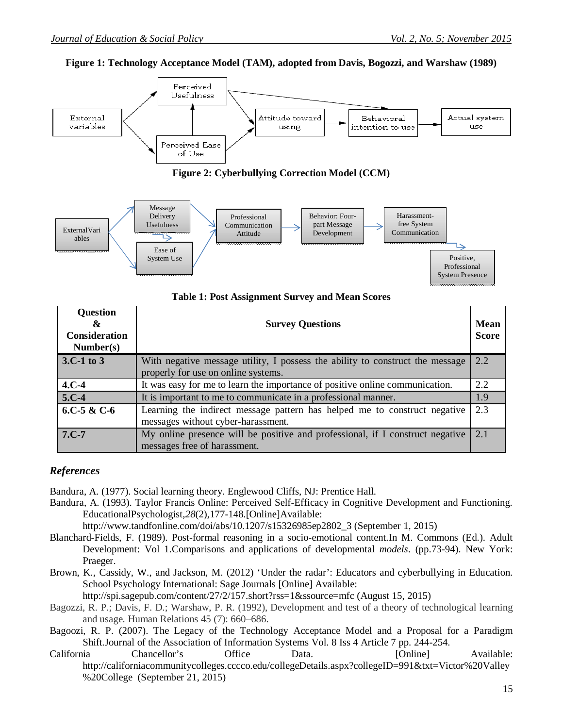



**Figure 2: Cyberbullying Correction Model (CCM)**



**Table 1: Post Assignment Survey and Mean Scores**

| <b>Question</b><br>&<br><b>Consideration</b><br>Number(s) | <b>Survey Questions</b>                                                                                              | Mean<br><b>Score</b> |
|-----------------------------------------------------------|----------------------------------------------------------------------------------------------------------------------|----------------------|
| $3.C-1$ to $3$                                            | With negative message utility, I possess the ability to construct the message<br>properly for use on online systems. | 2.2                  |
| $4.C-4$                                                   | It was easy for me to learn the importance of positive online communication.                                         | 2.2                  |
| $5.C-4$                                                   | It is important to me to communicate in a professional manner.                                                       | 1.9                  |
| 6.C-5 & C-6                                               | Learning the indirect message pattern has helped me to construct negative<br>messages without cyber-harassment.      | 23                   |
| $7.C-7$                                                   | My online presence will be positive and professional, if I construct negative<br>messages free of harassment.        | 2.1                  |

## *References*

Bandura, A. (1977). Social learning theory. Englewood Cliffs, NJ: Prentice Hall.

Bandura, A. (1993). Taylor Francis Online: Perceived Self-Efficacy in Cognitive Development and Functioning. EducationalPsychologist,*28*(2),177-148.[Online]Available:

http://www.tandfonline.com/doi/abs/10.1207/s15326985ep2802\_3 (September 1, 2015)

- Blanchard-Fields, F. (1989). Post-formal reasoning in a socio-emotional content.In M. Commons (Ed.). Adult Development: Vol 1.Comparisons and applications of developmental *models*. (pp.73-94). New York: Praeger.
- Brown, K., Cassidy, W., and Jackson, M. (2012) 'Under the radar': Educators and cyberbullying in Education. School Psychology International: Sage Journals [Online] Available:

http://spi.sagepub.com/content/27/2/157.short?rss=1&ssource=mfc (August 15, 2015)

- Bagozzi, R. P.; Davis, F. D.; Warshaw, P. R. (1992), Development and test of a theory of technological learning and usage. Human Relations 45 (7): 660–686.
- Bagoozi, R. P. (2007). The Legacy of the Technology Acceptance Model and a Proposal for a Paradigm Shift.Journal of the Association of Information Systems Vol. 8 Iss 4 Article 7 pp. 244-254.
- California Chancellor's Office Data. [Online] Available: http://californiacommunitycolleges.cccco.edu/collegeDetails.aspx?collegeID=991&txt=Victor%20Valley %20College (September 21, 2015)